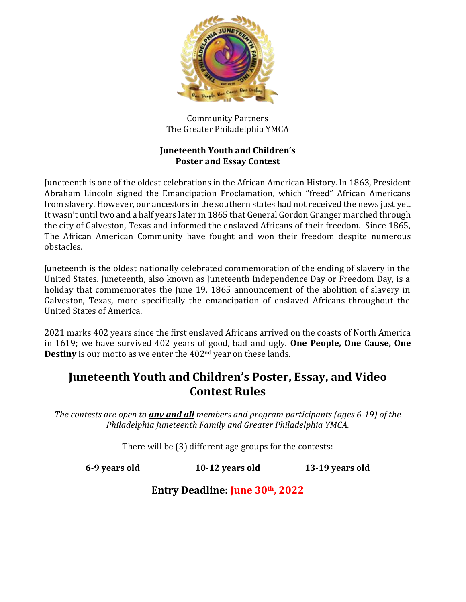

Community Partners The Greater Philadelphia YMCA

#### **Juneteenth Youth and Children's Poster and Essay Contest**

Juneteenth is one of the oldest celebrations in the African American History. In 1863, President Abraham Lincoln signed the Emancipation Proclamation, which "freed" African Americans from slavery. However, our ancestors in the southern states had not received the news just yet. It wasn't until two and a half years later in 1865 that General Gordon Granger marched through the city of Galveston, Texas and informed the enslaved Africans of their freedom. Since 1865, The African American Community have fought and won their freedom despite numerous obstacles.

Juneteenth is the oldest nationally celebrated commemoration of the ending of slavery in the United States. Juneteenth, also known as Juneteenth Independence Day or Freedom Day, is a holiday that commemorates the June 19, 1865 announcement of the abolition of slavery in Galveston, Texas, more specifically the emancipation of enslaved Africans throughout the United States of America.

2021 marks 402 years since the first enslaved Africans arrived on the coasts of North America in 1619; we have survived 402 years of good, bad and ugly. **One People, One Cause, One Destiny** is our motto as we enter the 402<sup>nd</sup> year on these lands.

# **Juneteenth Youth and Children's Poster, Essay, and Video Contest Rules**

*The contests are open to any and all members and program participants (ages 6-19) of the Philadelphia Juneteenth Family and Greater Philadelphia YMCA.*

There will be (3) different age groups for the contests:

**6-9 years old 10-12 years old 13-19 years old**

**Entry Deadline: June 30th, 2022**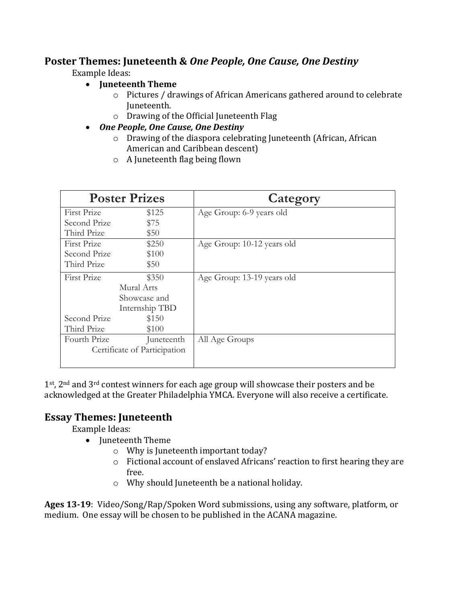### **Poster Themes: Juneteenth &** *One People, One Cause, One Destiny*

Example Ideas:

#### **Juneteenth Theme**

- o Pictures / drawings of African Americans gathered around to celebrate Juneteenth.
- o Drawing of the Official Juneteenth Flag
- *One People, One Cause, One Destiny*
	- o Drawing of the diaspora celebrating Juneteenth (African, African American and Caribbean descent)
	- o A Juneteenth flag being flown

| <b>Poster Prizes</b>         |                | Category                   |
|------------------------------|----------------|----------------------------|
| First Prize                  | \$125          | Age Group: 6-9 years old   |
| Second Prize                 | \$75           |                            |
| Third Prize                  | \$50           |                            |
| First Prize                  | \$250          | Age Group: 10-12 years old |
| Second Prize                 | \$100          |                            |
| Third Prize                  | \$50           |                            |
| First Prize                  | \$350          | Age Group: 13-19 years old |
| Mural Arts                   |                |                            |
|                              | Showcase and   |                            |
|                              | Internship TBD |                            |
| Second Prize                 | \$150          |                            |
| Third Prize                  | \$100          |                            |
| Fourth Prize                 | Juneteenth     | All Age Groups             |
| Certificate of Participation |                |                            |

 $1<sup>st</sup>$ ,  $2<sup>nd</sup>$  and  $3<sup>rd</sup>$  contest winners for each age group will showcase their posters and be acknowledged at the Greater Philadelphia YMCA. Everyone will also receive a certificate.

## **Essay Themes: Juneteenth**

Example Ideas:

- Juneteenth Theme
	- o Why is Juneteenth important today?
	- o Fictional account of enslaved Africans' reaction to first hearing they are free.
	- o Why should Juneteenth be a national holiday.

**Ages 13-19**: Video/Song/Rap/Spoken Word submissions, using any software, platform, or medium. One essay will be chosen to be published in the ACANA magazine.